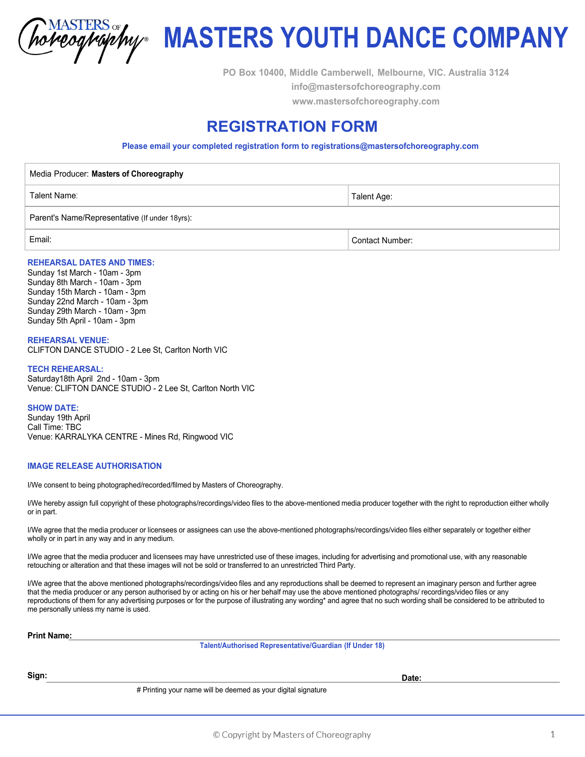horeography

# **MASTERS YOUTH DANCE COMPANY**

**PO Box 10400, Middle Camberwell, Melbourne, VIC. Australia 3124 info@mastersofchoreography.com www.mastersofchoreography.com** 

# **REGISTRATION FORM**

**Please email your completed registration form to registrations@mastersofchoreography.com**

Media Producer: **Masters of Choreography** Talent Name: Parent's Name/Representative (If under 18yrs): Talent Age: Email: Contact Number:

### **REHEARSAL DATES AND TIMES:**

Sunday 1st March - 10am - 3pm Sunday 8th March - 10am - 3pm Sunday 15th March - 10am - 3pm Sunday 22nd March - 10am - 3pm Sunday 29th March - 10am - 3pm Sunday 5th April - 10am - 3pm

**REHEARSAL VENUE:** CLIFTON DANCE STUDIO - 2 Lee St, Carlton North VIC

#### **TECH REHEARSAL:**

Saturday18th April 2nd - 10am - 3pm Venue: CLIFTON DANCE STUDIO - 2 Lee St, Carlton North VIC

#### **SHOW DATE:**

Sunday 19th April Call Time: TBC Venue: KARRALYKA CENTRE - Mines Rd, Ringwood VIC

#### **IMAGE RELEASE AUTHORISATION**

I/We consent to being photographed/recorded/filmed by Masters of Choreography.

I/We hereby assign full copyright of these photographs/recordings/video files to the above-mentioned media producer together with the right to reproduction either wholly or in part.

I/We agree that the media producer or licensees or assignees can use the above-mentioned photographs/recordings/video files either separately or together either wholly or in part in any way and in any medium.

I/We agree that the media producer and licensees may have unrestricted use of these images, including for advertising and promotional use, with any reasonable retouching or alteration and that these images will not be sold or transferred to an unrestricted Third Party.

I/We agree that the above mentioned photographs/recordings/video files and any reproductions shall be deemed to represent an imaginary person and further agree that the media producer or any person authorised by or acting on his or her behalf may use the above mentioned photographs/ recordings/video files or any reproductions of them for any advertising purposes or for the purpose of illustrating any wording\* and agree that no such wording shall be considered to be attributed to me personally unless my name is used.

#### **Print Name:**

**Talent/Authorised Representative/Guardian (If Under 18)**

## **Sign: Date:**

# Printing your name will be deemed as your digital signature